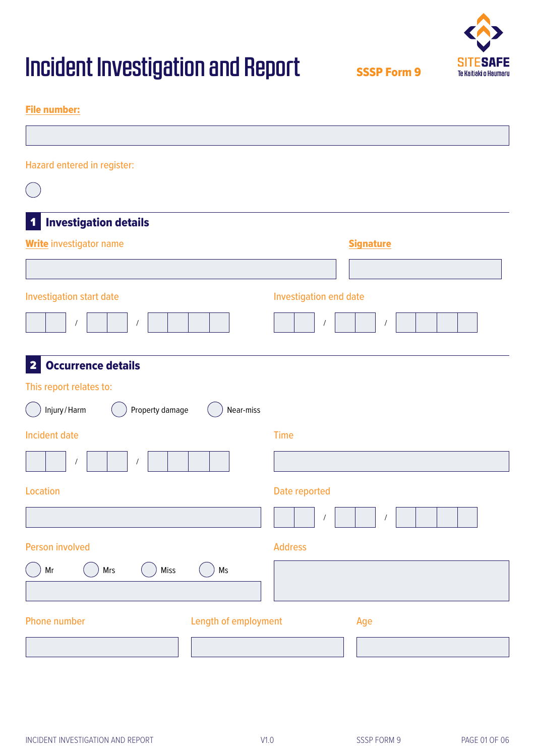

SSSP Form 9

### File number:

| Hazard entered in register:                          |                              |
|------------------------------------------------------|------------------------------|
|                                                      |                              |
| <b>Investigation details</b><br>$\blacktriangleleft$ |                              |
| <b>Write</b> investigator name                       | <b>Signature</b>             |
|                                                      |                              |
| Investigation start date                             | Investigation end date       |
| $\overline{1}$<br>$\prime$                           | $\sqrt{2}$<br>$\overline{1}$ |
| <b>Occurrence details</b><br>$\overline{\mathbf{2}}$ |                              |
| This report relates to:                              |                              |
| Injury/Harm<br>Property damage<br>Near-miss          |                              |
| <b>Incident date</b>                                 | <b>Time</b>                  |
| $\prime$<br>$\sqrt{2}$                               |                              |
| <b>Location</b>                                      | Date reported                |
|                                                      | $\prime$                     |
| <b>Person involved</b>                               | <b>Address</b>               |
| $\mathsf{Ms}$<br>Mrs<br>Miss<br>Mr                   |                              |
| Length of employment<br><b>Phone number</b>          | Age                          |
|                                                      |                              |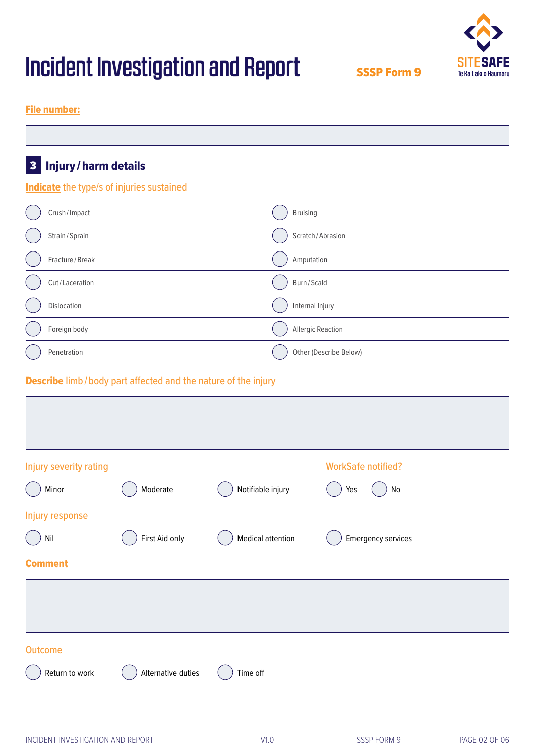

SSSP Form 9

### File number:

### **Indicate** the type/s of injuries sustained

| Crush/Impact   | <b>Bruising</b>          |
|----------------|--------------------------|
| Strain/Sprain  | Scratch/Abrasion         |
| Fracture/Break | Amputation               |
| Cut/Laceration | Burn/Scald               |
| Dislocation    | Internal Injury          |
| Foreign body   | <b>Allergic Reaction</b> |
| Penetration    | Other (Describe Below)   |

### **Describe** limb/body part affected and the nature of the injury

| Injury severity rating |                    |                          | <b>WorkSafe notified?</b>           |
|------------------------|--------------------|--------------------------|-------------------------------------|
| Minor                  | Moderate           | Notifiable injury        | $\operatorname{\mathsf{No}}$<br>Yes |
| Injury response        |                    |                          |                                     |
| $\mathsf{Nil}$         | First Aid only     | <b>Medical attention</b> | <b>Emergency services</b>           |
| <b>Comment</b>         |                    |                          |                                     |
|                        |                    |                          |                                     |
|                        |                    |                          |                                     |
| <b>Outcome</b>         |                    |                          |                                     |
| Return to work         | Alternative duties | Time off                 |                                     |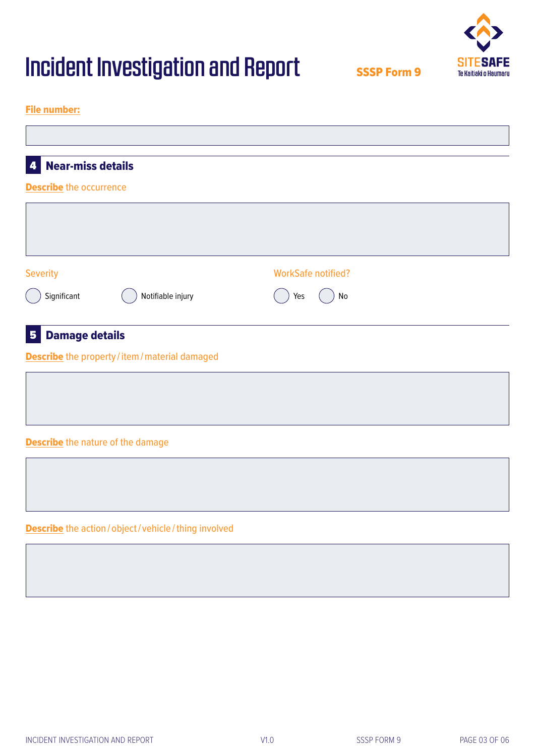SSSP Form 9



### File number:

| <b>Near-miss details</b><br>$\overline{\mathbf{a}}$    |                           |  |
|--------------------------------------------------------|---------------------------|--|
| <b>Describe</b> the occurrence                         |                           |  |
|                                                        |                           |  |
|                                                        |                           |  |
| <b>Severity</b>                                        | <b>WorkSafe notified?</b> |  |
| Notifiable injury<br>Significant                       | Yes<br>No                 |  |
| <b>Damage details</b><br>5 <sub>5</sub>                |                           |  |
| <b>Describe</b> the property / item / material damaged |                           |  |
|                                                        |                           |  |
|                                                        |                           |  |
| <b>Describe</b> the nature of the damage               |                           |  |
|                                                        |                           |  |
|                                                        |                           |  |

Describe the action/object/vehicle/thing involved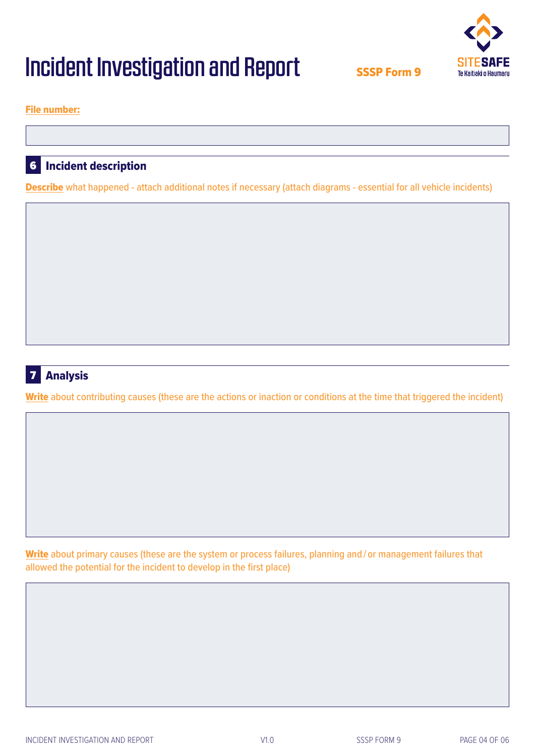

SSSP Form 9

File number:

### Incident description 36

Describe what happened - attach additional notes if necessary (attach diagrams - essential for all vehicle incidents)



### Write about contributing causes (these are the actions or inaction or conditions at the time that triggered the incident)

Write about primary causes (these are the system or process failures, planning and / or management failures that allowed the potential for the incident to develop in the first place)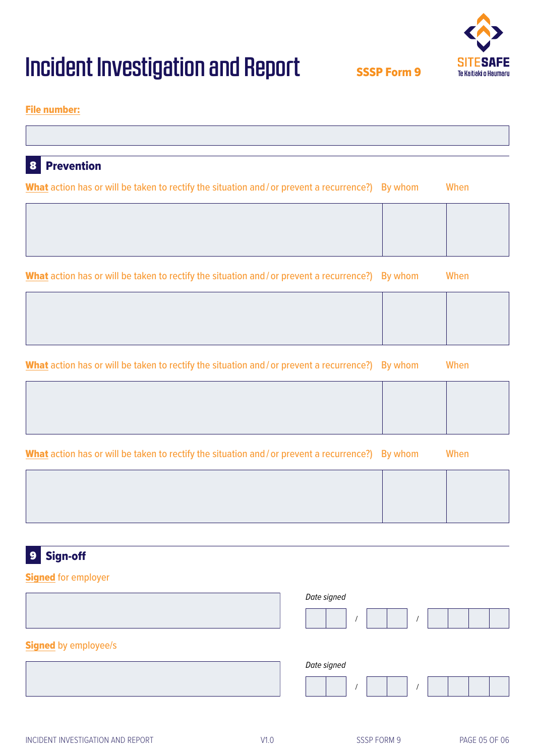# Sign-off 39

## **Signed for employer**

Prevention

38

File number:

|                             | Date signed |
|-----------------------------|-------------|
| <b>Signed</b> by employee/s |             |
|                             | Date signed |
|                             |             |

### INCIDENT INVESTIGATION AND REPORT THE STATE OF THE STATE OF STATE OF OCCUPANT INVESTIGATION AND REPORT THE STATE OF OCCUPANT OF STATE OF OCCUPANT OF STATE OF OCCUPANT OF STATE OF OCCUPANT OF STATE OF OCCUPANT OF STATE OF O

### V1.0

# Incident Investigation and Report

## What action has or will be taken to rectify the situation and / or prevent a recurrence?) By whom When

What action has or will be taken to rectify the situation and / or prevent a recurrence?) By whom When

| What action has or will be taken to rectify the situation and/or prevent a recurrence?) By whom |  | When |
|-------------------------------------------------------------------------------------------------|--|------|
|-------------------------------------------------------------------------------------------------|--|------|

What action has or will be taken to rectify the situation and / or prevent a recurrence?) By whom When